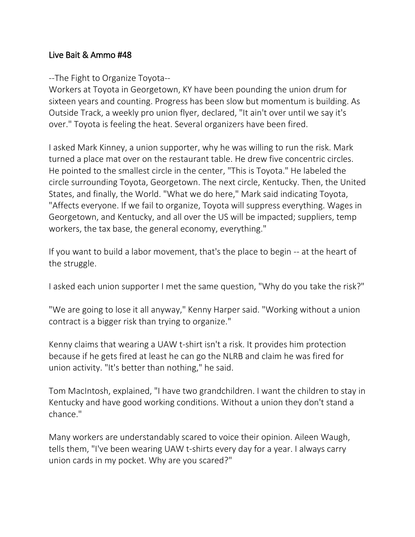## Live Bait & Ammo #48

## --The Fight to Organize Toyota--

Workers at Toyota in Georgetown, KY have been pounding the union drum for sixteen years and counting. Progress has been slow but momentum is building. As Outside Track, a weekly pro union flyer, declared, "It ain't over until we say it's over." Toyota is feeling the heat. Several organizers have been fired.

I asked Mark Kinney, a union supporter, why he was willing to run the risk. Mark turned a place mat over on the restaurant table. He drew five concentric circles. He pointed to the smallest circle in the center, "This is Toyota." He labeled the circle surrounding Toyota, Georgetown. The next circle, Kentucky. Then, the United States, and finally, the World. "What we do here," Mark said indicating Toyota, "Affects everyone. If we fail to organize, Toyota will suppress everything. Wages in Georgetown, and Kentucky, and all over the US will be impacted; suppliers, temp workers, the tax base, the general economy, everything."

If you want to build a labor movement, that's the place to begin -- at the heart of the struggle.

I asked each union supporter I met the same question, "Why do you take the risk?"

"We are going to lose it all anyway," Kenny Harper said. "Working without a union contract is a bigger risk than trying to organize."

Kenny claims that wearing a UAW t-shirt isn't a risk. It provides him protection because if he gets fired at least he can go the NLRB and claim he was fired for union activity. "It's better than nothing," he said.

Tom MacIntosh, explained, "I have two grandchildren. I want the children to stay in Kentucky and have good working conditions. Without a union they don't stand a chance."

Many workers are understandably scared to voice their opinion. Aileen Waugh, tells them, "I've been wearing UAW t-shirts every day for a year. I always carry union cards in my pocket. Why are you scared?"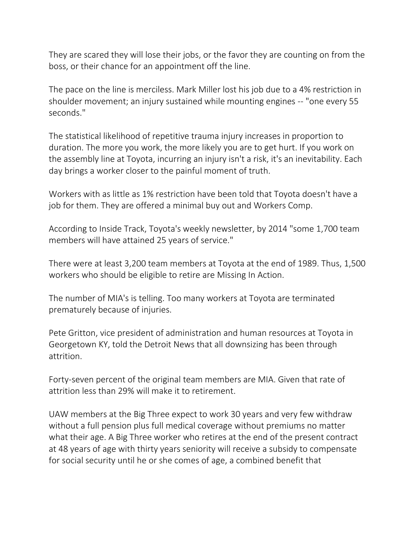They are scared they will lose their jobs, or the favor they are counting on from the boss, or their chance for an appointment off the line.

The pace on the line is merciless. Mark Miller lost his job due to a 4% restriction in shoulder movement; an injury sustained while mounting engines -- "one every 55 seconds."

The statistical likelihood of repetitive trauma injury increases in proportion to duration. The more you work, the more likely you are to get hurt. If you work on the assembly line at Toyota, incurring an injury isn't a risk, it's an inevitability. Each day brings a worker closer to the painful moment of truth.

Workers with as little as 1% restriction have been told that Toyota doesn't have a job for them. They are offered a minimal buy out and Workers Comp.

According to Inside Track, Toyota's weekly newsletter, by 2014 "some 1,700 team members will have attained 25 years of service."

There were at least 3,200 team members at Toyota at the end of 1989. Thus, 1,500 workers who should be eligible to retire are Missing In Action.

The number of MIA's is telling. Too many workers at Toyota are terminated prematurely because of injuries.

Pete Gritton, vice president of administration and human resources at Toyota in Georgetown KY, told the Detroit News that all downsizing has been through attrition.

Forty-seven percent of the original team members are MIA. Given that rate of attrition less than 29% will make it to retirement.

UAW members at the Big Three expect to work 30 years and very few withdraw without a full pension plus full medical coverage without premiums no matter what their age. A Big Three worker who retires at the end of the present contract at 48 years of age with thirty years seniority will receive a subsidy to compensate for social security until he or she comes of age, a combined benefit that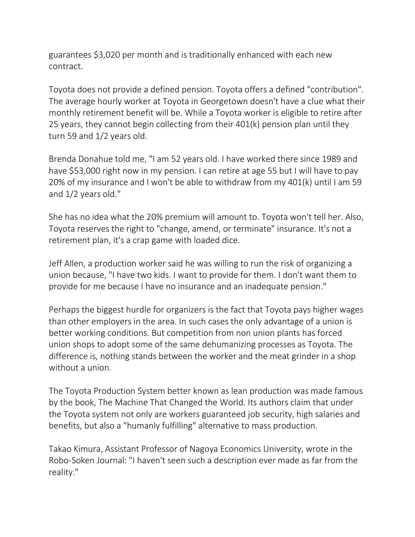guarantees \$3,020 per month and is traditionally enhanced with each new contract.

Toyota does not provide a defined pension. Toyota offers a defined "contribution". The average hourly worker at Toyota in Georgetown doesn't have a clue what their monthly retirement benefit will be. While a Toyota worker is eligible to retire after 25 years, they cannot begin collecting from their 401(k) pension plan until they turn 59 and 1/2 years old.

Brenda Donahue told me, "I am 52 years old. I have worked there since 1989 and have \$53,000 right now in my pension. I can retire at age 55 but I will have to pay 20% of my insurance and I won't be able to withdraw from my 401(k) until I am 59 and 1/2 years old."

She has no idea what the 20% premium will amount to. Toyota won't tell her. Also, Toyota reserves the right to "change, amend, or terminate" insurance. It's not a retirement plan, it's a crap game with loaded dice.

Jeff Allen, a production worker said he was willing to run the risk of organizing a union because, "I have two kids. I want to provide for them. I don't want them to provide for me because I have no insurance and an inadequate pension."

Perhaps the biggest hurdle for organizers is the fact that Toyota pays higher wages than other employers in the area. In such cases the only advantage of a union is better working conditions. But competition from non union plants has forced union shops to adopt some of the same dehumanizing processes as Toyota. The difference is, nothing stands between the worker and the meat grinder in a shop without a union.

The Toyota Production System better known as lean production was made famous by the book, The Machine That Changed the World. Its authors claim that under the Toyota system not only are workers guaranteed job security, high salaries and benefits, but also a "humanly fulfilling" alternative to mass production.

Takao Kimura, Assistant Professor of Nagoya Economics University, wrote in the Robo-Soken Journal: "I haven't seen such a description ever made as far from the reality."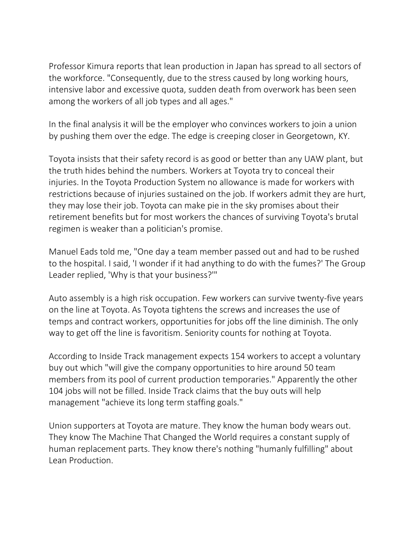Professor Kimura reports that lean production in Japan has spread to all sectors of the workforce. "Consequently, due to the stress caused by long working hours, intensive labor and excessive quota, sudden death from overwork has been seen among the workers of all job types and all ages."

In the final analysis it will be the employer who convinces workers to join a union by pushing them over the edge. The edge is creeping closer in Georgetown, KY.

Toyota insists that their safety record is as good or better than any UAW plant, but the truth hides behind the numbers. Workers at Toyota try to conceal their injuries. In the Toyota Production System no allowance is made for workers with restrictions because of injuries sustained on the job. If workers admit they are hurt, they may lose their job. Toyota can make pie in the sky promises about their retirement benefits but for most workers the chances of surviving Toyota's brutal regimen is weaker than a politician's promise.

Manuel Eads told me, "One day a team member passed out and had to be rushed to the hospital. I said, 'I wonder if it had anything to do with the fumes?' The Group Leader replied, 'Why is that your business?'"

Auto assembly is a high risk occupation. Few workers can survive twenty-five years on the line at Toyota. As Toyota tightens the screws and increases the use of temps and contract workers, opportunities for jobs off the line diminish. The only way to get off the line is favoritism. Seniority counts for nothing at Toyota.

According to Inside Track management expects 154 workers to accept a voluntary buy out which "will give the company opportunities to hire around 50 team members from its pool of current production temporaries." Apparently the other 104 jobs will not be filled. Inside Track claims that the buy outs will help management "achieve its long term staffing goals."

Union supporters at Toyota are mature. They know the human body wears out. They know The Machine That Changed the World requires a constant supply of human replacement parts. They know there's nothing "humanly fulfilling" about Lean Production.